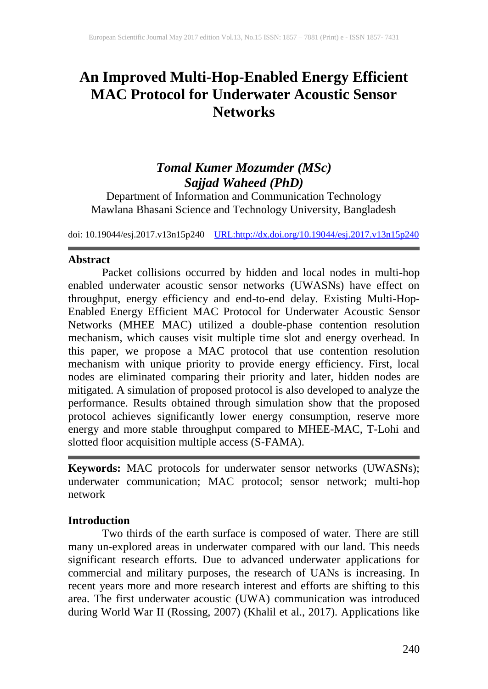# **An Improved Multi-Hop-Enabled Energy Efficient MAC Protocol for Underwater Acoustic Sensor Networks**

## *Tomal Kumer Mozumder (MSc) Sajjad Waheed (PhD)*

Department of Information and Communication Technology Mawlana Bhasani Science and Technology University, Bangladesh

doi: 10.19044/esj.2017.v13n15p240 [URL:http://dx.doi.org/10.19044/esj.2017.v13n15p240](http://dx.doi.org/10.19044/esj.2017.v13n15p240)

#### **Abstract**

Packet collisions occurred by hidden and local nodes in multi-hop enabled underwater acoustic sensor networks (UWASNs) have effect on throughput, energy efficiency and end-to-end delay. Existing Multi-Hop-Enabled Energy Efficient MAC Protocol for Underwater Acoustic Sensor Networks (MHEE MAC) utilized a double-phase contention resolution mechanism, which causes visit multiple time slot and energy overhead. In this paper, we propose a MAC protocol that use contention resolution mechanism with unique priority to provide energy efficiency. First, local nodes are eliminated comparing their priority and later, hidden nodes are mitigated. A simulation of proposed protocol is also developed to analyze the performance. Results obtained through simulation show that the proposed protocol achieves significantly lower energy consumption, reserve more energy and more stable throughput compared to MHEE-MAC, T-Lohi and slotted floor acquisition multiple access (S-FAMA).

**Keywords:** MAC protocols for underwater sensor networks (UWASNs); underwater communication; MAC protocol; sensor network; multi-hop network

#### **Introduction**

Two thirds of the earth surface is composed of water. There are still many un-explored areas in underwater compared with our land. This needs significant research efforts. Due to advanced underwater applications for commercial and military purposes, the research of UANs is increasing. In recent years more and more research interest and efforts are shifting to this area. The first underwater acoustic (UWA) communication was introduced during World War II (Rossing, 2007) (Khalil et al., 2017). Applications like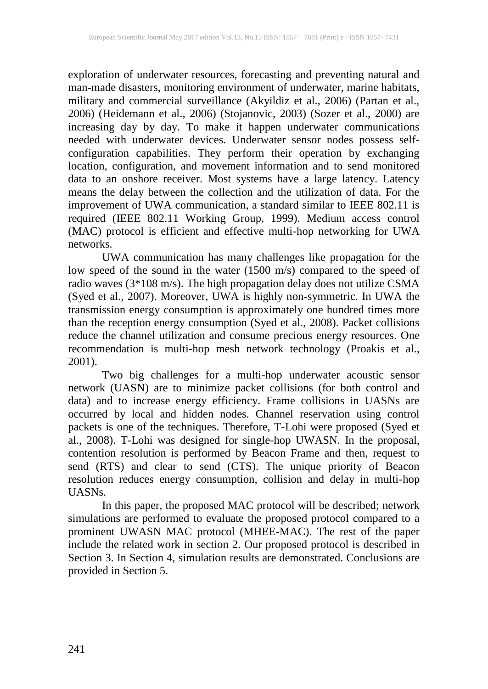exploration of underwater resources, forecasting and preventing natural and man-made disasters, monitoring environment of underwater, marine habitats, military and commercial surveillance (Akyildiz et al., 2006) (Partan et al., 2006) (Heidemann et al., 2006) (Stojanovic, 2003) (Sozer et al., 2000) are increasing day by day. To make it happen underwater communications needed with underwater devices. Underwater sensor nodes possess selfconfiguration capabilities. They perform their operation by exchanging location, configuration, and movement information and to send monitored data to an onshore receiver. Most systems have a large latency. Latency means the delay between the collection and the utilization of data. For the improvement of UWA communication, a standard similar to IEEE 802.11 is required (IEEE 802.11 Working Group, 1999). Medium access control (MAC) protocol is efficient and effective multi-hop networking for UWA networks.

UWA communication has many challenges like propagation for the low speed of the sound in the water (1500 m/s) compared to the speed of radio waves (3\*108 m/s). The high propagation delay does not utilize CSMA (Syed et al., 2007). Moreover, UWA is highly non-symmetric. In UWA the transmission energy consumption is approximately one hundred times more than the reception energy consumption (Syed et al., 2008). Packet collisions reduce the channel utilization and consume precious energy resources. One recommendation is multi-hop mesh network technology (Proakis et al., 2001).

Two big challenges for a multi-hop underwater acoustic sensor network (UASN) are to minimize packet collisions (for both control and data) and to increase energy efficiency. Frame collisions in UASNs are occurred by local and hidden nodes. Channel reservation using control packets is one of the techniques. Therefore, T-Lohi were proposed (Syed et al., 2008). T-Lohi was designed for single-hop UWASN. In the proposal, contention resolution is performed by Beacon Frame and then, request to send (RTS) and clear to send (CTS). The unique priority of Beacon resolution reduces energy consumption, collision and delay in multi-hop UASNs.

In this paper, the proposed MAC protocol will be described; network simulations are performed to evaluate the proposed protocol compared to a prominent UWASN MAC protocol (MHEE-MAC). The rest of the paper include the related work in section 2. Our proposed protocol is described in Section 3. In Section 4, simulation results are demonstrated. Conclusions are provided in Section 5.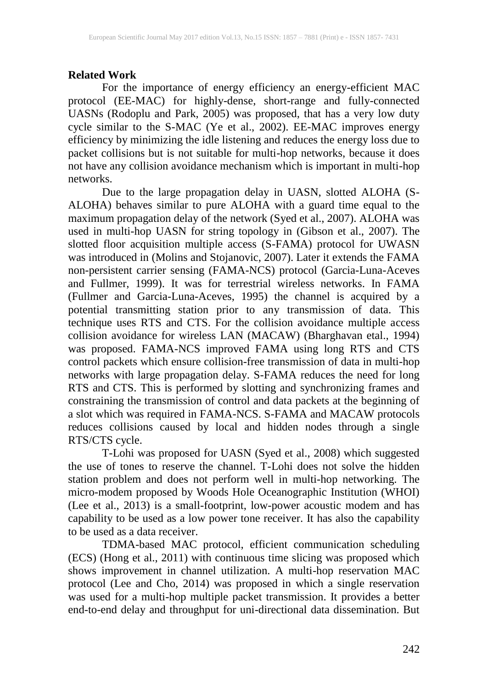### **Related Work**

For the importance of energy efficiency an energy-efficient MAC protocol (EE-MAC) for highly-dense, short-range and fully-connected UASNs (Rodoplu and Park, 2005) was proposed, that has a very low duty cycle similar to the S-MAC (Ye et al., 2002). EE-MAC improves energy efficiency by minimizing the idle listening and reduces the energy loss due to packet collisions but is not suitable for multi-hop networks, because it does not have any collision avoidance mechanism which is important in multi-hop networks.

Due to the large propagation delay in UASN, slotted ALOHA (S-ALOHA) behaves similar to pure ALOHA with a guard time equal to the maximum propagation delay of the network (Syed et al., 2007). ALOHA was used in multi-hop UASN for string topology in (Gibson et al., 2007). The slotted floor acquisition multiple access (S-FAMA) protocol for UWASN was introduced in (Molins and Stojanovic, 2007). Later it extends the FAMA non-persistent carrier sensing (FAMA-NCS) protocol (Garcia-Luna-Aceves and Fullmer, 1999). It was for terrestrial wireless networks. In FAMA (Fullmer and Garcia-Luna-Aceves, 1995) the channel is acquired by a potential transmitting station prior to any transmission of data. This technique uses RTS and CTS. For the collision avoidance multiple access collision avoidance for wireless LAN (MACAW) (Bharghavan etal., 1994) was proposed. FAMA-NCS improved FAMA using long RTS and CTS control packets which ensure collision-free transmission of data in multi-hop networks with large propagation delay. S-FAMA reduces the need for long RTS and CTS. This is performed by slotting and synchronizing frames and constraining the transmission of control and data packets at the beginning of a slot which was required in FAMA-NCS. S-FAMA and MACAW protocols reduces collisions caused by local and hidden nodes through a single RTS/CTS cycle.

T-Lohi was proposed for UASN (Syed et al., 2008) which suggested the use of tones to reserve the channel. T-Lohi does not solve the hidden station problem and does not perform well in multi-hop networking. The micro-modem proposed by Woods Hole Oceanographic Institution (WHOI) (Lee et al., 2013) is a small-footprint, low-power acoustic modem and has capability to be used as a low power tone receiver. It has also the capability to be used as a data receiver.

TDMA-based MAC protocol, efficient communication scheduling (ECS) (Hong et al., 2011) with continuous time slicing was proposed which shows improvement in channel utilization. A multi-hop reservation MAC protocol (Lee and Cho, 2014) was proposed in which a single reservation was used for a multi-hop multiple packet transmission. It provides a better end-to-end delay and throughput for uni-directional data dissemination. But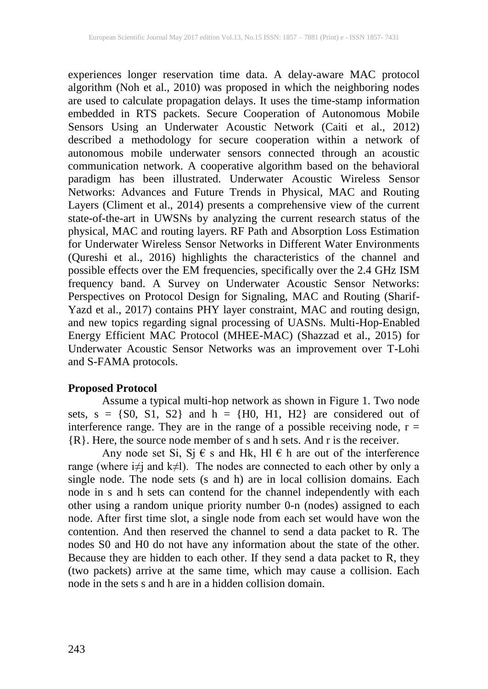experiences longer reservation time data. A delay-aware MAC protocol algorithm (Noh et al., 2010) was proposed in which the neighboring nodes are used to calculate propagation delays. It uses the time-stamp information embedded in RTS packets. Secure Cooperation of Autonomous Mobile Sensors Using an Underwater Acoustic Network (Caiti et al., 2012) described a methodology for secure cooperation within a network of autonomous mobile underwater sensors connected through an acoustic communication network. A cooperative algorithm based on the behavioral paradigm has been illustrated. Underwater Acoustic Wireless Sensor Networks: Advances and Future Trends in Physical, MAC and Routing Layers (Climent et al., 2014) presents a comprehensive view of the current state-of-the-art in UWSNs by analyzing the current research status of the physical, MAC and routing layers. RF Path and Absorption Loss Estimation for Underwater Wireless Sensor Networks in Different Water Environments (Qureshi et al., 2016) highlights the characteristics of the channel and possible effects over the EM frequencies, specifically over the 2.4 GHz ISM frequency band. A Survey on Underwater Acoustic Sensor Networks: Perspectives on Protocol Design for Signaling, MAC and Routing (Sharif-Yazd et al., 2017) contains PHY layer constraint, MAC and routing design, and new topics regarding signal processing of UASNs. Multi-Hop-Enabled Energy Efficient MAC Protocol (MHEE-MAC) (Shazzad et al., 2015) for Underwater Acoustic Sensor Networks was an improvement over T-Lohi and S-FAMA protocols.

#### **Proposed Protocol**

Assume a typical multi-hop network as shown in Figure 1. Two node sets,  $s = \{S0, S1, S2\}$  and  $h = \{H0, H1, H2\}$  are considered out of interference range. They are in the range of a possible receiving node,  $r =$ {R}. Here, the source node member of s and h sets. And r is the receiver.

Any node set Si, Sj  $\epsilon$  s and Hk, Hl  $\epsilon$  h are out of the interference range (where i≠j and k≠l). The nodes are connected to each other by only a single node. The node sets (s and h) are in local collision domains. Each node in s and h sets can contend for the channel independently with each other using a random unique priority number 0-n (nodes) assigned to each node. After first time slot, a single node from each set would have won the contention. And then reserved the channel to send a data packet to R. The nodes S0 and H0 do not have any information about the state of the other. Because they are hidden to each other. If they send a data packet to R, they (two packets) arrive at the same time, which may cause a collision. Each node in the sets s and h are in a hidden collision domain.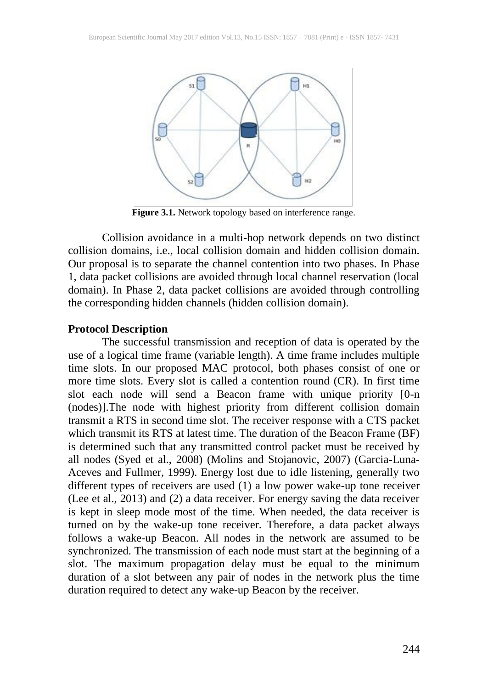

**Figure 3.1.** Network topology based on interference range.

Collision avoidance in a multi-hop network depends on two distinct collision domains, i.e., local collision domain and hidden collision domain. Our proposal is to separate the channel contention into two phases. In Phase 1, data packet collisions are avoided through local channel reservation (local domain). In Phase 2, data packet collisions are avoided through controlling the corresponding hidden channels (hidden collision domain).

#### **Protocol Description**

The successful transmission and reception of data is operated by the use of a logical time frame (variable length). A time frame includes multiple time slots. In our proposed MAC protocol, both phases consist of one or more time slots. Every slot is called a contention round (CR). In first time slot each node will send a Beacon frame with unique priority [0-n (nodes)].The node with highest priority from different collision domain transmit a RTS in second time slot. The receiver response with a CTS packet which transmit its RTS at latest time. The duration of the Beacon Frame (BF) is determined such that any transmitted control packet must be received by all nodes (Syed et al., 2008) (Molins and Stojanovic, 2007) (Garcia-Luna-Aceves and Fullmer, 1999). Energy lost due to idle listening, generally two different types of receivers are used (1) a low power wake-up tone receiver (Lee et al., 2013) and (2) a data receiver. For energy saving the data receiver is kept in sleep mode most of the time. When needed, the data receiver is turned on by the wake-up tone receiver. Therefore, a data packet always follows a wake-up Beacon. All nodes in the network are assumed to be synchronized. The transmission of each node must start at the beginning of a slot. The maximum propagation delay must be equal to the minimum duration of a slot between any pair of nodes in the network plus the time duration required to detect any wake-up Beacon by the receiver.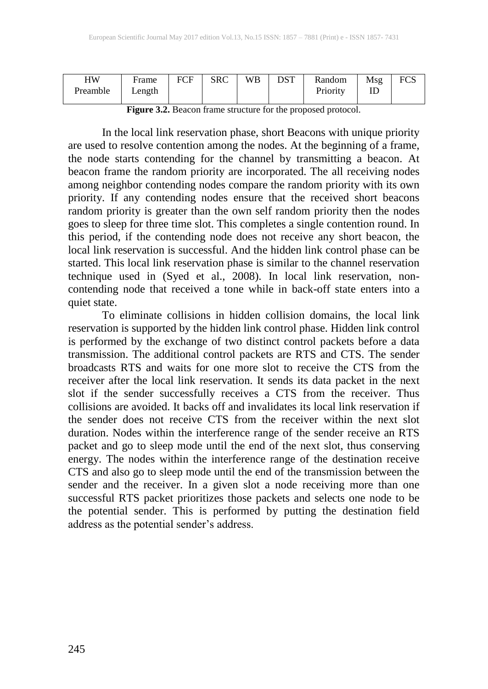| HW<br>Preamble | Frame<br>Length | FCF | <b>SRC</b> | WB | <b>DST</b> | Random<br>Priority | Msg<br>ш | <b>FCS</b> |
|----------------|-----------------|-----|------------|----|------------|--------------------|----------|------------|
|                |                 |     |            |    |            |                    |          |            |

**Figure 3.2.** Beacon frame structure for the proposed protocol.

In the local link reservation phase, short Beacons with unique priority are used to resolve contention among the nodes. At the beginning of a frame, the node starts contending for the channel by transmitting a beacon. At beacon frame the random priority are incorporated. The all receiving nodes among neighbor contending nodes compare the random priority with its own priority. If any contending nodes ensure that the received short beacons random priority is greater than the own self random priority then the nodes goes to sleep for three time slot. This completes a single contention round. In this period, if the contending node does not receive any short beacon, the local link reservation is successful. And the hidden link control phase can be started. This local link reservation phase is similar to the channel reservation technique used in (Syed et al., 2008). In local link reservation, noncontending node that received a tone while in back-off state enters into a quiet state.

To eliminate collisions in hidden collision domains, the local link reservation is supported by the hidden link control phase. Hidden link control is performed by the exchange of two distinct control packets before a data transmission. The additional control packets are RTS and CTS. The sender broadcasts RTS and waits for one more slot to receive the CTS from the receiver after the local link reservation. It sends its data packet in the next slot if the sender successfully receives a CTS from the receiver. Thus collisions are avoided. It backs off and invalidates its local link reservation if the sender does not receive CTS from the receiver within the next slot duration. Nodes within the interference range of the sender receive an RTS packet and go to sleep mode until the end of the next slot, thus conserving energy. The nodes within the interference range of the destination receive CTS and also go to sleep mode until the end of the transmission between the sender and the receiver. In a given slot a node receiving more than one successful RTS packet prioritizes those packets and selects one node to be the potential sender. This is performed by putting the destination field address as the potential sender's address.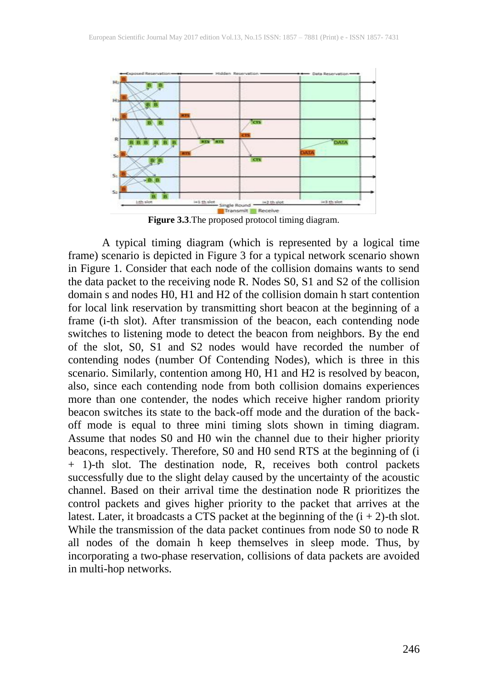

**Figure 3.3**.The proposed protocol timing diagram.

A typical timing diagram (which is represented by a logical time frame) scenario is depicted in Figure 3 for a typical network scenario shown in Figure 1. Consider that each node of the collision domains wants to send the data packet to the receiving node R. Nodes S0, S1 and S2 of the collision domain s and nodes H0, H1 and H2 of the collision domain h start contention for local link reservation by transmitting short beacon at the beginning of a frame (i-th slot). After transmission of the beacon, each contending node switches to listening mode to detect the beacon from neighbors. By the end of the slot, S0, S1 and S2 nodes would have recorded the number of contending nodes (number Of Contending Nodes), which is three in this scenario. Similarly, contention among H0, H1 and H2 is resolved by beacon, also, since each contending node from both collision domains experiences more than one contender, the nodes which receive higher random priority beacon switches its state to the back-off mode and the duration of the backoff mode is equal to three mini timing slots shown in timing diagram. Assume that nodes S0 and H0 win the channel due to their higher priority beacons, respectively. Therefore, S0 and H0 send RTS at the beginning of (i + 1)-th slot. The destination node, R, receives both control packets successfully due to the slight delay caused by the uncertainty of the acoustic channel. Based on their arrival time the destination node R prioritizes the control packets and gives higher priority to the packet that arrives at the latest. Later, it broadcasts a CTS packet at the beginning of the  $(i + 2)$ -th slot. While the transmission of the data packet continues from node S0 to node R all nodes of the domain h keep themselves in sleep mode. Thus, by incorporating a two-phase reservation, collisions of data packets are avoided in multi-hop networks.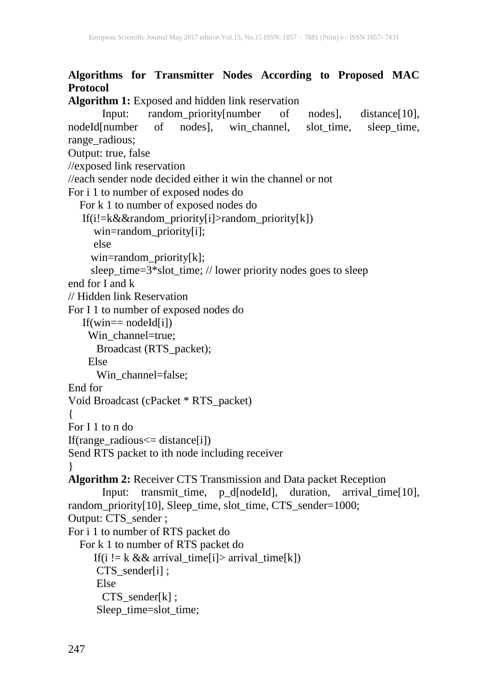## **Algorithms for Transmitter Nodes According to Proposed MAC Protocol**

```
Algorithm 1: Exposed and hidden link reservation
       Input: random_priority[number of nodes], distance[10],
nodeId[number of nodes], win_channel, slot_time, sleep_time,
range radious;
Output: true, false
//exposed link reservation
//each sender node decided either it win the channel or not 
For i 1 to number of exposed nodes do
   For k 1 to number of exposed nodes do
    If(i!=k&&random_priority[i]>random_priority[k])
      win=random_priority[i];
      else
      win=random_priority[k];
     sleep_time=3*slot_time; // lower priority nodes goes to sleep 
end for I and k// Hidden link Reservation
For I 1 to number of exposed nodes do
   If(win== nodeId[i])
    Win channel=true;
       Broadcast (RTS_packet); 
     Else
       Win_channel=false;
End for
Void Broadcast (cPacket * RTS_packet)
{
For I 1 to n do
If(range_radious<= distance[i])
Send RTS packet to ith node including receiver
}
Algorithm 2: Receiver CTS Transmission and Data packet Reception
       Input: transmit_time, p_d[nodeId], duration, arrival_time[10],
random_priority[10], Sleep_time, slot_time, CTS_sender=1000;
Output: CTS_sender ;
For i 1 to number of RTS packet do
   For k 1 to number of RTS packet do
     If(i != k && arrival_time[i]> arrival_time[k])
       CTS_sender[i] ;
       Else
        CTS_sender[k] ;
       Sleep_time=slot_time;
```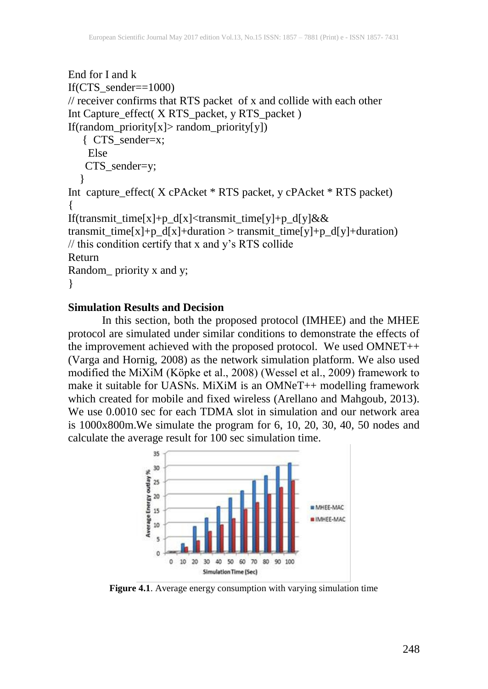```
End for I and k
If(CTS_sender==1000)
// receiver confirms that RTS packet of x and collide with each other
Int Capture_effect( X RTS_packet, y RTS_packet )
If(random_priority[x]> random_priority[y])
    { CTS_sender=x; 
     Else
   CTS_sender=y;
 }
Int capture_effect( X cPAcket * RTS packet, y cPAcket * RTS packet)
{
If(transmit_time[x]+p_d[x]<transmit_time[y]+p_d[y]&&
transmit_time[x]+p_d[x]+duration > transmit_time[y]+p_d[y]+duration)
// this condition certify that x and y's RTS collide
Return 
Random_ priority x and y;
}
```
#### **Simulation Results and Decision**

In this section, both the proposed protocol (IMHEE) and the MHEE protocol are simulated under similar conditions to demonstrate the effects of the improvement achieved with the proposed protocol. We used OMNET++ (Varga and Hornig, 2008) as the network simulation platform. We also used modified the MiXiM (Köpke et al., 2008) (Wessel et al., 2009) framework to make it suitable for UASNs. MiXiM is an OMNeT++ modelling framework which created for mobile and fixed wireless (Arellano and Mahgoub, 2013). We use 0.0010 sec for each TDMA slot in simulation and our network area is 1000x800m.We simulate the program for 6, 10, 20, 30, 40, 50 nodes and calculate the average result for 100 sec simulation time.



**Figure 4.1**. Average energy consumption with varying simulation time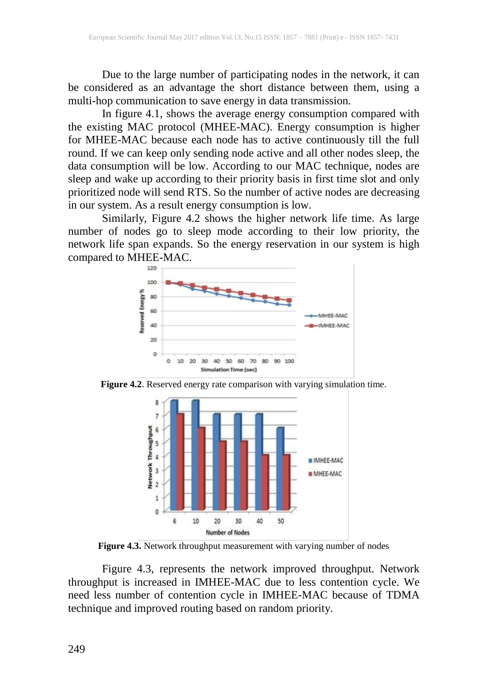Due to the large number of participating nodes in the network, it can be considered as an advantage the short distance between them, using a multi-hop communication to save energy in data transmission.

In figure 4.1, shows the average energy consumption compared with the existing MAC protocol (MHEE-MAC). Energy consumption is higher for MHEE-MAC because each node has to active continuously till the full round. If we can keep only sending node active and all other nodes sleep, the data consumption will be low. According to our MAC technique, nodes are sleep and wake up according to their priority basis in first time slot and only prioritized node will send RTS. So the number of active nodes are decreasing in our system. As a result energy consumption is low.

Similarly, Figure 4.2 shows the higher network life time. As large number of nodes go to sleep mode according to their low priority, the network life span expands. So the energy reservation in our system is high compared to MHEE-MAC.



**Figure 4.2**. Reserved energy rate comparison with varying simulation time.



**Figure 4.3.** Network throughput measurement with varying number of nodes

Figure 4.3, represents the network improved throughput. Network throughput is increased in IMHEE-MAC due to less contention cycle. We need less number of contention cycle in IMHEE-MAC because of TDMA technique and improved routing based on random priority.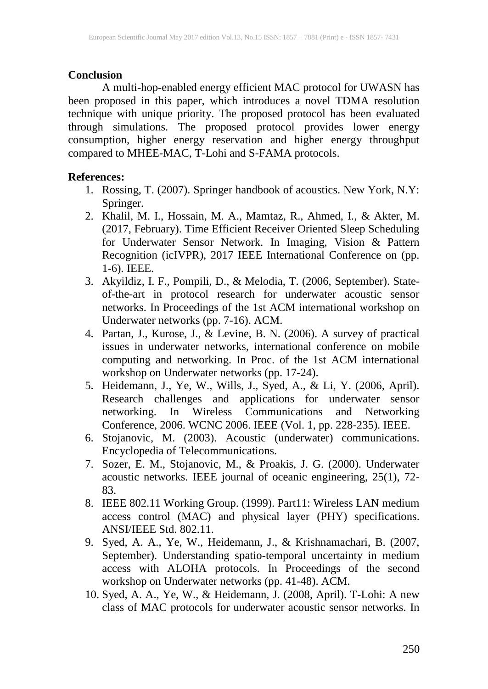#### **Conclusion**

A multi-hop-enabled energy efficient MAC protocol for UWASN has been proposed in this paper, which introduces a novel TDMA resolution technique with unique priority. The proposed protocol has been evaluated through simulations. The proposed protocol provides lower energy consumption, higher energy reservation and higher energy throughput compared to MHEE-MAC, T-Lohi and S-FAMA protocols.

#### **References:**

- 1. Rossing, T. (2007). Springer handbook of acoustics. New York, N.Y: Springer.
- 2. Khalil, M. I., Hossain, M. A., Mamtaz, R., Ahmed, I., & Akter, M. (2017, February). Time Efficient Receiver Oriented Sleep Scheduling for Underwater Sensor Network. In Imaging, Vision & Pattern Recognition (icIVPR), 2017 IEEE International Conference on (pp. 1-6). IEEE.
- 3. Akyildiz, I. F., Pompili, D., & Melodia, T. (2006, September). Stateof-the-art in protocol research for underwater acoustic sensor networks. In Proceedings of the 1st ACM international workshop on Underwater networks (pp. 7-16). ACM.
- 4. Partan, J., Kurose, J., & Levine, B. N. (2006). A survey of practical issues in underwater networks, international conference on mobile computing and networking. In Proc. of the 1st ACM international workshop on Underwater networks (pp. 17-24).
- 5. Heidemann, J., Ye, W., Wills, J., Syed, A., & Li, Y. (2006, April). Research challenges and applications for underwater sensor networking. In Wireless Communications and Networking Conference, 2006. WCNC 2006. IEEE (Vol. 1, pp. 228-235). IEEE.
- 6. Stojanovic, M. (2003). Acoustic (underwater) communications. Encyclopedia of Telecommunications.
- 7. Sozer, E. M., Stojanovic, M., & Proakis, J. G. (2000). Underwater acoustic networks. IEEE journal of oceanic engineering, 25(1), 72- 83.
- 8. IEEE 802.11 Working Group. (1999). Part11: Wireless LAN medium access control (MAC) and physical layer (PHY) specifications. ANSI/IEEE Std. 802.11.
- 9. Syed, A. A., Ye, W., Heidemann, J., & Krishnamachari, B. (2007, September). Understanding spatio-temporal uncertainty in medium access with ALOHA protocols. In Proceedings of the second workshop on Underwater networks (pp. 41-48). ACM.
- 10. Syed, A. A., Ye, W., & Heidemann, J. (2008, April). T-Lohi: A new class of MAC protocols for underwater acoustic sensor networks. In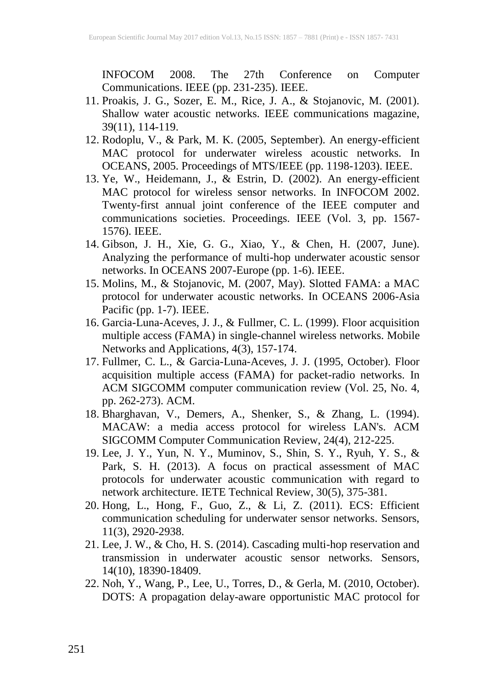INFOCOM 2008. The 27th Conference on Computer Communications. IEEE (pp. 231-235). IEEE.

- 11. Proakis, J. G., Sozer, E. M., Rice, J. A., & Stojanovic, M. (2001). Shallow water acoustic networks. IEEE communications magazine, 39(11), 114-119.
- 12. Rodoplu, V., & Park, M. K. (2005, September). An energy-efficient MAC protocol for underwater wireless acoustic networks. In OCEANS, 2005. Proceedings of MTS/IEEE (pp. 1198-1203). IEEE.
- 13. Ye, W., Heidemann, J., & Estrin, D. (2002). An energy-efficient MAC protocol for wireless sensor networks. In INFOCOM 2002. Twenty-first annual joint conference of the IEEE computer and communications societies. Proceedings. IEEE (Vol. 3, pp. 1567- 1576). IEEE.
- 14. Gibson, J. H., Xie, G. G., Xiao, Y., & Chen, H. (2007, June). Analyzing the performance of multi-hop underwater acoustic sensor networks. In OCEANS 2007-Europe (pp. 1-6). IEEE.
- 15. Molins, M., & Stojanovic, M. (2007, May). Slotted FAMA: a MAC protocol for underwater acoustic networks. In OCEANS 2006-Asia Pacific (pp. 1-7). IEEE.
- 16. Garcia-Luna-Aceves, J. J., & Fullmer, C. L. (1999). Floor acquisition multiple access (FAMA) in single-channel wireless networks. Mobile Networks and Applications, 4(3), 157-174.
- 17. Fullmer, C. L., & Garcia-Luna-Aceves, J. J. (1995, October). Floor acquisition multiple access (FAMA) for packet-radio networks. In ACM SIGCOMM computer communication review (Vol. 25, No. 4, pp. 262-273). ACM.
- 18. Bharghavan, V., Demers, A., Shenker, S., & Zhang, L. (1994). MACAW: a media access protocol for wireless LAN's. ACM SIGCOMM Computer Communication Review, 24(4), 212-225.
- 19. Lee, J. Y., Yun, N. Y., Muminov, S., Shin, S. Y., Ryuh, Y. S., & Park, S. H. (2013). A focus on practical assessment of MAC protocols for underwater acoustic communication with regard to network architecture. IETE Technical Review, 30(5), 375-381.
- 20. Hong, L., Hong, F., Guo, Z., & Li, Z. (2011). ECS: Efficient communication scheduling for underwater sensor networks. Sensors, 11(3), 2920-2938.
- 21. Lee, J. W., & Cho, H. S. (2014). Cascading multi-hop reservation and transmission in underwater acoustic sensor networks. Sensors, 14(10), 18390-18409.
- 22. Noh, Y., Wang, P., Lee, U., Torres, D., & Gerla, M. (2010, October). DOTS: A propagation delay-aware opportunistic MAC protocol for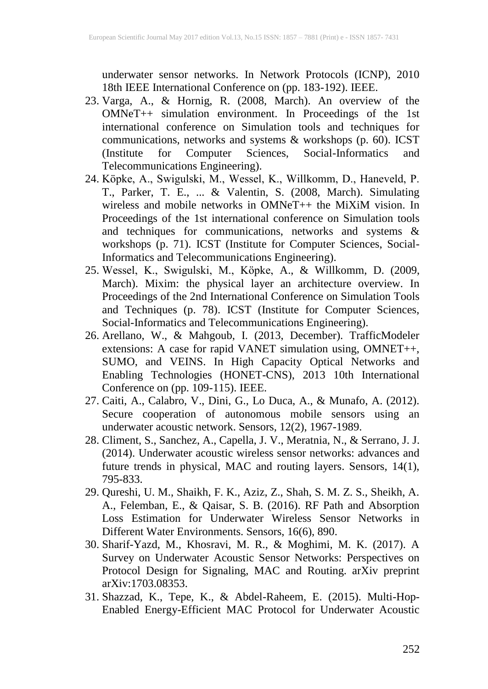underwater sensor networks. In Network Protocols (ICNP), 2010 18th IEEE International Conference on (pp. 183-192). IEEE.

- 23. Varga, A., & Hornig, R. (2008, March). An overview of the OMNeT++ simulation environment. In Proceedings of the 1st international conference on Simulation tools and techniques for communications, networks and systems & workshops (p. 60). ICST (Institute for Computer Sciences, Social-Informatics and Telecommunications Engineering).
- 24. Köpke, A., Swigulski, M., Wessel, K., Willkomm, D., Haneveld, P. T., Parker, T. E., ... & Valentin, S. (2008, March). Simulating wireless and mobile networks in OMNeT++ the MiXiM vision. In Proceedings of the 1st international conference on Simulation tools and techniques for communications, networks and systems & workshops (p. 71). ICST (Institute for Computer Sciences, Social-Informatics and Telecommunications Engineering).
- 25. Wessel, K., Swigulski, M., Köpke, A., & Willkomm, D. (2009, March). Mixim: the physical layer an architecture overview. In Proceedings of the 2nd International Conference on Simulation Tools and Techniques (p. 78). ICST (Institute for Computer Sciences, Social-Informatics and Telecommunications Engineering).
- 26. Arellano, W., & Mahgoub, I. (2013, December). TrafficModeler extensions: A case for rapid VANET simulation using, OMNET++, SUMO, and VEINS. In High Capacity Optical Networks and Enabling Technologies (HONET-CNS), 2013 10th International Conference on (pp. 109-115). IEEE.
- 27. Caiti, A., Calabro, V., Dini, G., Lo Duca, A., & Munafo, A. (2012). Secure cooperation of autonomous mobile sensors using an underwater acoustic network. Sensors, 12(2), 1967-1989.
- 28. Climent, S., Sanchez, A., Capella, J. V., Meratnia, N., & Serrano, J. J. (2014). Underwater acoustic wireless sensor networks: advances and future trends in physical, MAC and routing layers. Sensors, 14(1), 795-833.
- 29. Qureshi, U. M., Shaikh, F. K., Aziz, Z., Shah, S. M. Z. S., Sheikh, A. A., Felemban, E., & Qaisar, S. B. (2016). RF Path and Absorption Loss Estimation for Underwater Wireless Sensor Networks in Different Water Environments. Sensors, 16(6), 890.
- 30. Sharif-Yazd, M., Khosravi, M. R., & Moghimi, M. K. (2017). A Survey on Underwater Acoustic Sensor Networks: Perspectives on Protocol Design for Signaling, MAC and Routing. arXiv preprint arXiv:1703.08353.
- 31. Shazzad, K., Tepe, K., & Abdel-Raheem, E. (2015). Multi-Hop-Enabled Energy-Efficient MAC Protocol for Underwater Acoustic